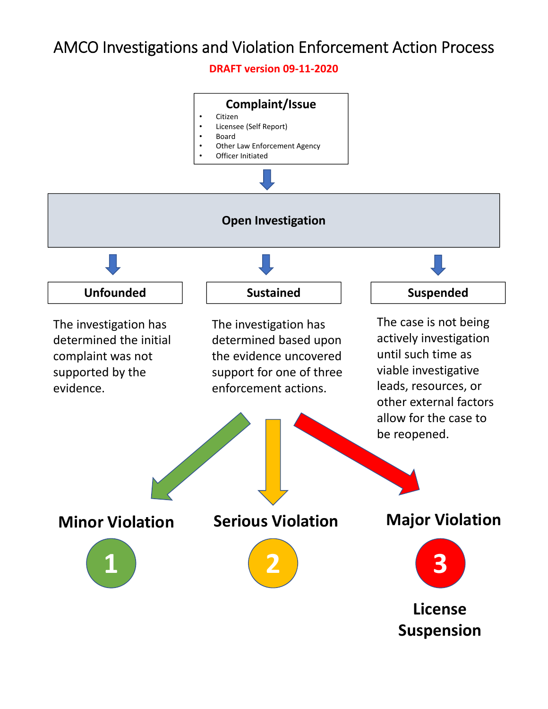**DRAFT version 09‐11‐2020**

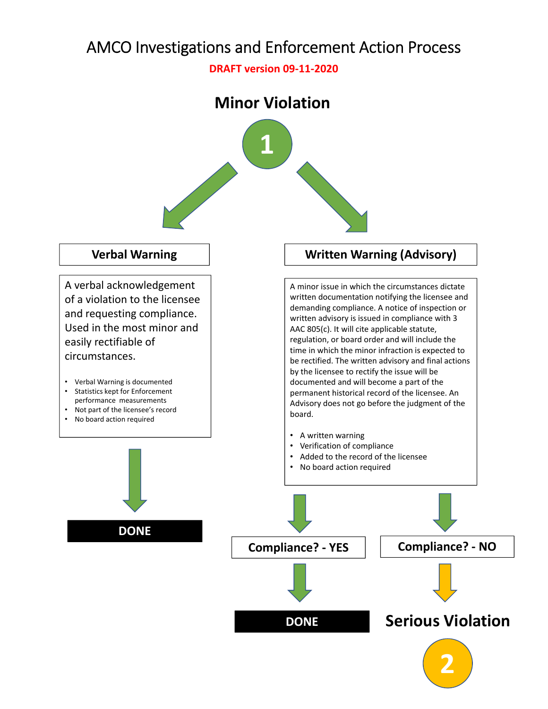**DRAFT version 09‐11‐2020**

#### **Minor Violation**



#### **Verbal Warning**

A verbal acknowledgement of a violation to the licensee and requesting compliance. Used in the most minor and easily rectifiable of circumstances.

- Verbal Warning is documented
- Statistics kept for Enforcement performance measurements
- Not part of the licensee's record

**DONE**

• No board action required

#### **Written Warning (Advisory)**

A minor issue in which the circumstances dictate written documentation notifying the licensee and demanding compliance. A notice of inspection or written advisory is issued in compliance with 3 AAC 805(c). It will cite applicable statute, regulation, or board order and will include the time in which the minor infraction is expected to be rectified. The written advisory and final actions by the licensee to rectify the issue will be documented and will become a part of the permanent historical record of the licensee. An Advisory does not go before the judgment of the board.

- A written warning
- Verification of compliance
- Added to the record of the licensee
- No board action required

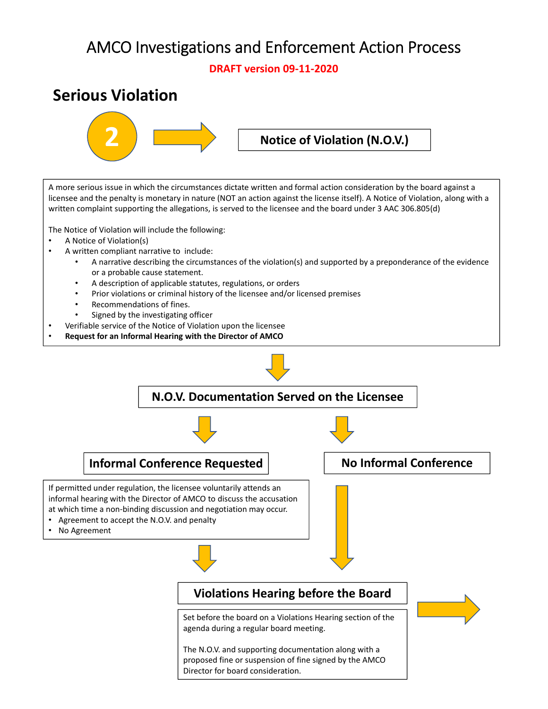**DRAFT version 09‐11‐2020**

### **Serious Violation**



A more serious issue in which the circumstances dictate written and formal action consideration by the board against a licensee and the penalty is monetary in nature (NOT an action against the license itself). A Notice of Violation, along with a written complaint supporting the allegations, is served to the licensee and the board under 3 AAC 306.805(d)

The Notice of Violation will include the following:

- A Notice of Violation(s)
- A written compliant narrative to include:
	- A narrative describing the circumstances of the violation(s) and supported by a preponderance of the evidence or a probable cause statement.
	- A description of applicable statutes, regulations, or orders
	- Prior violations or criminal history of the licensee and/or licensed premises
	- Recommendations of fines.
	- Signed by the investigating officer
- Verifiable service of the Notice of Violation upon the licensee
- **Request for an Informal Hearing with the Director of AMCO**

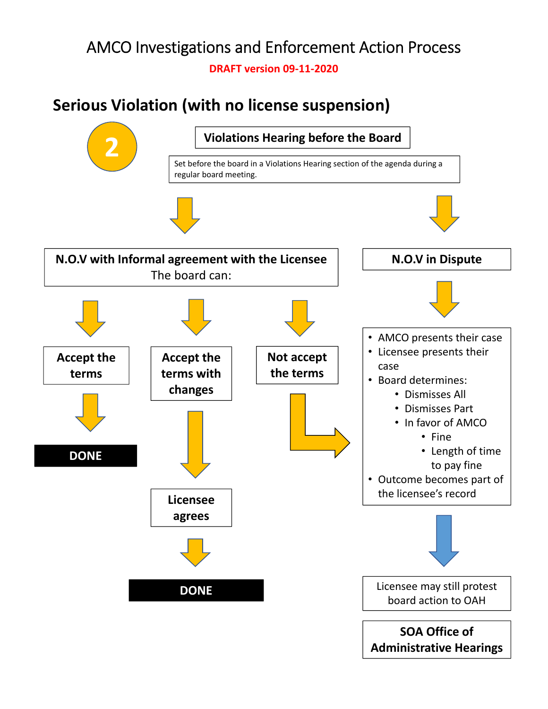**DRAFT version 09‐11‐2020**

# **Serious Violation (with no license suspension)**